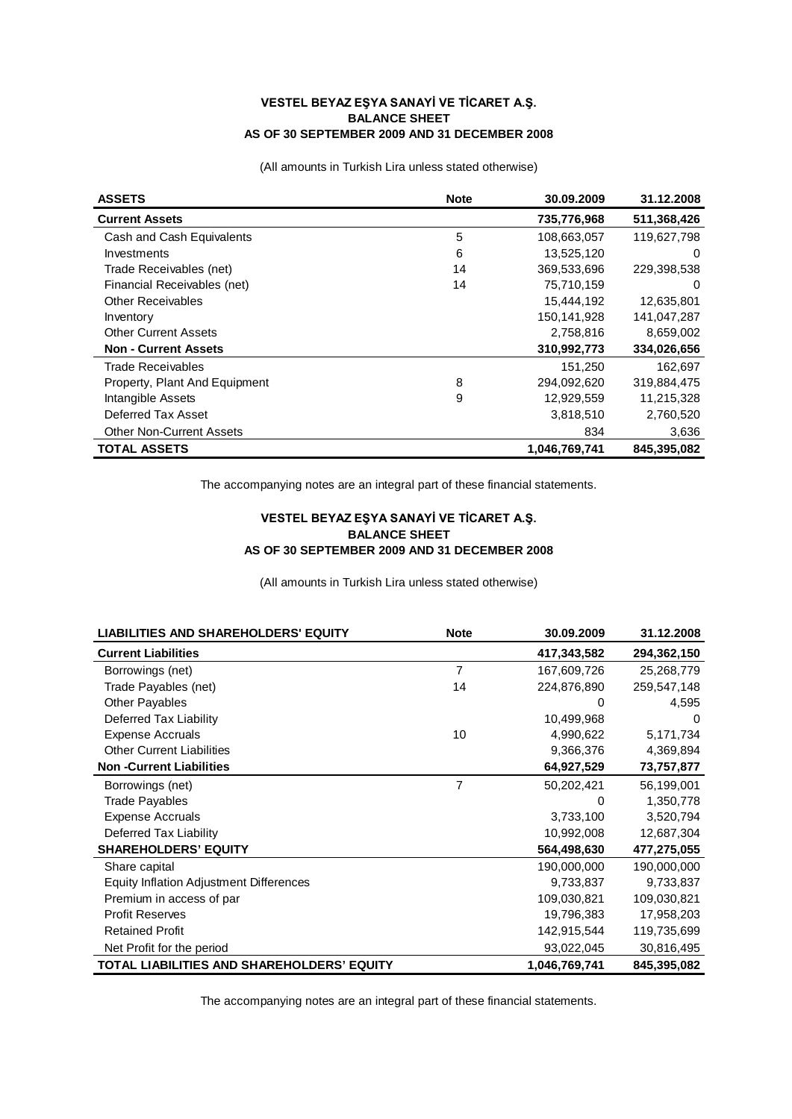## **VESTEL BEYAZ EŞYA SANAYİ VE TİCARET A.Ş. BALANCE SHEET AS OF 30 SEPTEMBER 2009 AND 31 DECEMBER 2008**

(All amounts in Turkish Lira unless stated otherwise)

| <b>ASSETS</b>                   | <b>Note</b> | 30.09.2009    | 31.12.2008  |
|---------------------------------|-------------|---------------|-------------|
| <b>Current Assets</b>           |             | 735,776,968   | 511,368,426 |
| Cash and Cash Equivalents       | 5           | 108,663,057   | 119.627.798 |
| <b>Investments</b>              | 6           | 13,525,120    | 0           |
| Trade Receivables (net)         | 14          | 369,533,696   | 229,398,538 |
| Financial Receivables (net)     | 14          | 75,710,159    | 0           |
| <b>Other Receivables</b>        |             | 15,444,192    | 12,635,801  |
| Inventory                       |             | 150,141,928   | 141,047,287 |
| <b>Other Current Assets</b>     |             | 2,758,816     | 8,659,002   |
| <b>Non - Current Assets</b>     |             | 310,992,773   | 334,026,656 |
| Trade Receivables               |             | 151,250       | 162,697     |
| Property, Plant And Equipment   | 8           | 294,092,620   | 319,884,475 |
| Intangible Assets               | 9           | 12,929,559    | 11,215,328  |
| Deferred Tax Asset              |             | 3,818,510     | 2,760,520   |
| <b>Other Non-Current Assets</b> |             | 834           | 3,636       |
| <b>TOTAL ASSETS</b>             |             | 1,046,769,741 | 845,395,082 |

The accompanying notes are an integral part of these financial statements.

## **VESTEL BEYAZ EŞYA SANAYİ VE TİCARET A.Ş. BALANCE SHEET AS OF 30 SEPTEMBER 2009 AND 31 DECEMBER 2008**

(All amounts in Turkish Lira unless stated otherwise)

| <b>LIABILITIES AND SHAREHOLDERS' EQUITY</b>    | <b>Note</b>    | 30.09.2009    | 31.12.2008  |
|------------------------------------------------|----------------|---------------|-------------|
| <b>Current Liabilities</b>                     |                | 417,343,582   | 294,362,150 |
| Borrowings (net)                               | 7              | 167,609,726   | 25,268,779  |
| Trade Payables (net)                           | 14             | 224,876,890   | 259,547,148 |
| <b>Other Payables</b>                          |                | 0             | 4,595       |
| Deferred Tax Liability                         |                | 10,499,968    | 0           |
| <b>Expense Accruals</b>                        | 10             | 4,990,622     | 5,171,734   |
| <b>Other Current Liabilities</b>               |                | 9,366,376     | 4,369,894   |
| <b>Non-Current Liabilities</b>                 |                | 64,927,529    | 73,757,877  |
| Borrowings (net)                               | $\overline{7}$ | 50,202,421    | 56,199,001  |
| <b>Trade Payables</b>                          |                | 0             | 1,350,778   |
| <b>Expense Accruals</b>                        |                | 3,733,100     | 3,520,794   |
| Deferred Tax Liability                         |                | 10,992,008    | 12,687,304  |
| <b>SHAREHOLDERS' EQUITY</b>                    |                | 564,498,630   | 477,275,055 |
| Share capital                                  |                | 190,000,000   | 190,000,000 |
| <b>Equity Inflation Adjustment Differences</b> |                | 9,733,837     | 9,733,837   |
| Premium in access of par                       |                | 109,030,821   | 109,030,821 |
| <b>Profit Reserves</b>                         |                | 19,796,383    | 17,958,203  |
| <b>Retained Profit</b>                         |                | 142,915,544   | 119,735,699 |
| Net Profit for the period                      |                | 93,022,045    | 30,816,495  |
| TOTAL LIABILITIES AND SHAREHOLDERS' EQUITY     |                | 1,046,769,741 | 845,395,082 |

The accompanying notes are an integral part of these financial statements.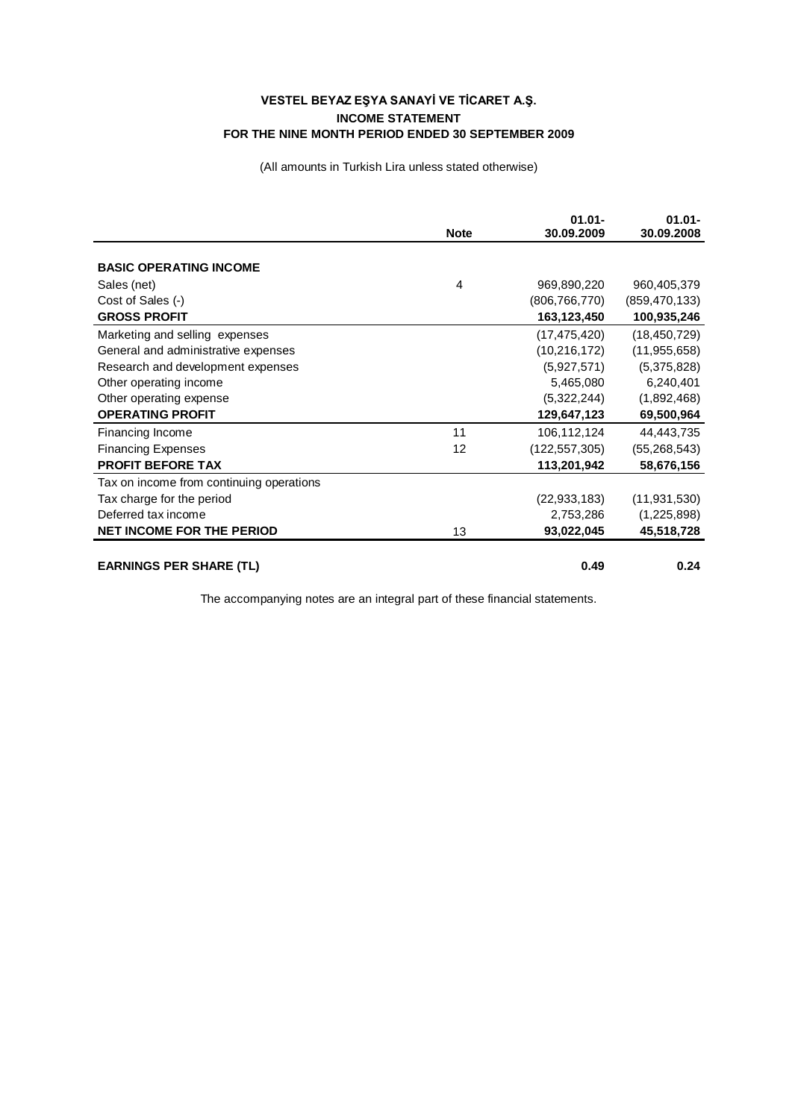## **VESTEL BEYAZ EŞYA SANAYİ VE TİCARET A.Ş. INCOME STATEMENT FOR THE NINE MONTH PERIOD ENDED 30 SEPTEMBER 2009**

(All amounts in Turkish Lira unless stated otherwise)

|                                          | <b>Note</b> | $01.01 -$<br>30.09.2009 | $01.01 -$<br>30.09.2008 |
|------------------------------------------|-------------|-------------------------|-------------------------|
|                                          |             |                         |                         |
| <b>BASIC OPERATING INCOME</b>            |             |                         |                         |
| Sales (net)                              | 4           | 969,890,220             | 960,405,379             |
| Cost of Sales (-)                        |             | (806,766,770)           | (859, 470, 133)         |
| <b>GROSS PROFIT</b>                      |             | 163,123,450             | 100,935,246             |
| Marketing and selling expenses           |             | (17, 475, 420)          | (18, 450, 729)          |
| General and administrative expenses      |             | (10, 216, 172)          | (11, 955, 658)          |
| Research and development expenses        |             | (5,927,571)             | (5,375,828)             |
| Other operating income                   |             | 5,465,080               | 6,240,401               |
| Other operating expense                  |             | (5,322,244)             | (1,892,468)             |
| <b>OPERATING PROFIT</b>                  |             | 129,647,123             | 69,500,964              |
| Financing Income                         | 11          | 106,112,124             | 44,443,735              |
| <b>Financing Expenses</b>                | 12          | (122, 557, 305)         | (55, 268, 543)          |
| <b>PROFIT BEFORE TAX</b>                 |             | 113,201,942             | 58,676,156              |
| Tax on income from continuing operations |             |                         |                         |
| Tax charge for the period                |             | (22, 933, 183)          | (11, 931, 530)          |
| Deferred tax income                      |             | 2,753,286               | (1,225,898)             |
| <b>NET INCOME FOR THE PERIOD</b>         | 13          | 93,022,045              | 45,518,728              |
|                                          |             |                         |                         |
| <b>EARNINGS PER SHARE (TL)</b>           |             | 0.49                    | 0.24                    |

The accompanying notes are an integral part of these financial statements.